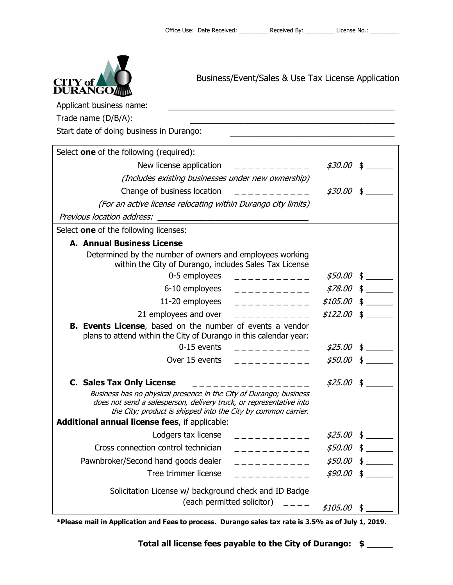

Business/Event/Sales & Use Tax License Application

| Applicant business name:                                                                                                                                                                                   |              |
|------------------------------------------------------------------------------------------------------------------------------------------------------------------------------------------------------------|--------------|
| Trade name (D/B/A):                                                                                                                                                                                        |              |
| Start date of doing business in Durango:                                                                                                                                                                   |              |
| Select one of the following (required):                                                                                                                                                                    |              |
| New license application                                                                                                                                                                                    | $$30.00 \$$  |
| (Includes existing businesses under new ownership)                                                                                                                                                         |              |
| Change of business location<br>____________                                                                                                                                                                | $$30.00$ \$  |
| (For an active license relocating within Durango city limits)                                                                                                                                              |              |
|                                                                                                                                                                                                            |              |
| Select one of the following licenses:                                                                                                                                                                      |              |
| <b>A. Annual Business License</b>                                                                                                                                                                          |              |
| Determined by the number of owners and employees working<br>within the City of Durango, includes Sales Tax License                                                                                         |              |
| 0-5 employees<br>_ _ _ _ _ _ _ _ _ _ _ _                                                                                                                                                                   |              |
| 6-10 employees<br>___________                                                                                                                                                                              | $$78.00 \$$  |
| 11-20 employees<br>___________                                                                                                                                                                             | $$105.00$ \$ |
| 21 employees and over<br>----------                                                                                                                                                                        | $$122.00$ \$ |
| B. Events License, based on the number of events a vendor<br>plans to attend within the City of Durango in this calendar year:                                                                             |              |
| 0-15 events<br>____________                                                                                                                                                                                | $$25.00$ \$  |
| Over 15 events<br>------------                                                                                                                                                                             | $$50.00$ \$  |
| <b>C. Sales Tax Only License</b>                                                                                                                                                                           | $$25.00$ \$  |
| Business has no physical presence in the City of Durango; business<br>does not send a salesperson, delivery truck, or representative into<br>the City; product is shipped into the City by common carrier. |              |
| Additional annual license fees, if applicable:                                                                                                                                                             |              |
| Lodgers tax license<br>--------                                                                                                                                                                            | $$25.00$ \$  |
| Cross connection control technician<br>- - - - - - - - -                                                                                                                                                   | $$50.00$ \$  |
| Pawnbroker/Second hand goods dealer<br>_________                                                                                                                                                           | $$50.00$ \$  |
| Tree trimmer license                                                                                                                                                                                       | $$90.00$ \$  |
| Solicitation License w/ background check and ID Badge<br>(each permitted solicitor)                                                                                                                        | $$105.00$ \$ |

**\*Please mail in Application and Fees to process. Durango sales tax rate is 3.5% as of July 1, 2019.**

**Total all license fees payable to the City of Durango: \$ \_\_\_\_\_**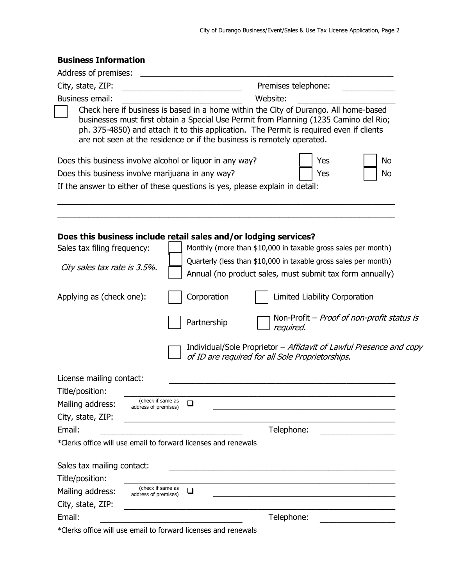| <b>Business Information</b> |
|-----------------------------|
|-----------------------------|

| Address of premises:         |                                                                                                                                                                                                                                                                                                                                                    |
|------------------------------|----------------------------------------------------------------------------------------------------------------------------------------------------------------------------------------------------------------------------------------------------------------------------------------------------------------------------------------------------|
| City, state, ZIP:            | Premises telephone:                                                                                                                                                                                                                                                                                                                                |
| <b>Business email:</b>       | Website:                                                                                                                                                                                                                                                                                                                                           |
|                              | Check here if business is based in a home within the City of Durango. All home-based<br>businesses must first obtain a Special Use Permit from Planning (1235 Camino del Rio;<br>ph. 375-4850) and attach it to this application. The Permit is required even if clients<br>are not seen at the residence or if the business is remotely operated. |
|                              | Does this business involve alcohol or liquor in any way?<br>Yes<br>No                                                                                                                                                                                                                                                                              |
|                              | Does this business involve marijuana in any way?<br>Yes<br>No                                                                                                                                                                                                                                                                                      |
|                              | If the answer to either of these questions is yes, please explain in detail:                                                                                                                                                                                                                                                                       |
|                              | Does this business include retail sales and/or lodging services?                                                                                                                                                                                                                                                                                   |
| Sales tax filing frequency:  | Monthly (more than \$10,000 in taxable gross sales per month)                                                                                                                                                                                                                                                                                      |
| City sales tax rate is 3.5%. | Quarterly (less than \$10,000 in taxable gross sales per month)                                                                                                                                                                                                                                                                                    |
|                              | Annual (no product sales, must submit tax form annually)                                                                                                                                                                                                                                                                                           |
| Applying as (check one):     | Corporation<br>Limited Liability Corporation                                                                                                                                                                                                                                                                                                       |
|                              | Non-Profit – Proof of non-profit status is<br>Partnership<br>required.                                                                                                                                                                                                                                                                             |
|                              | Individual/Sole Proprietor - Affidavit of Lawful Presence and copy<br>of ID are required for all Sole Proprietorships.                                                                                                                                                                                                                             |
| License mailing contact:     |                                                                                                                                                                                                                                                                                                                                                    |
| Title/position:              |                                                                                                                                                                                                                                                                                                                                                    |
| Mailing address:             | (check if same as<br>❏<br>address of premises)                                                                                                                                                                                                                                                                                                     |
| City, state, ZIP:            |                                                                                                                                                                                                                                                                                                                                                    |
| Email:                       | Telephone:                                                                                                                                                                                                                                                                                                                                         |
|                              | *Clerks office will use email to forward licenses and renewals                                                                                                                                                                                                                                                                                     |
| Sales tax mailing contact:   |                                                                                                                                                                                                                                                                                                                                                    |
| Title/position:              |                                                                                                                                                                                                                                                                                                                                                    |
| Mailing address:             | (check if same as<br>❏<br>address of premises)                                                                                                                                                                                                                                                                                                     |
| City, state, ZIP:            |                                                                                                                                                                                                                                                                                                                                                    |
| Email:                       | Telephone:                                                                                                                                                                                                                                                                                                                                         |
|                              | *Clerks office will use email to forward licenses and renewals                                                                                                                                                                                                                                                                                     |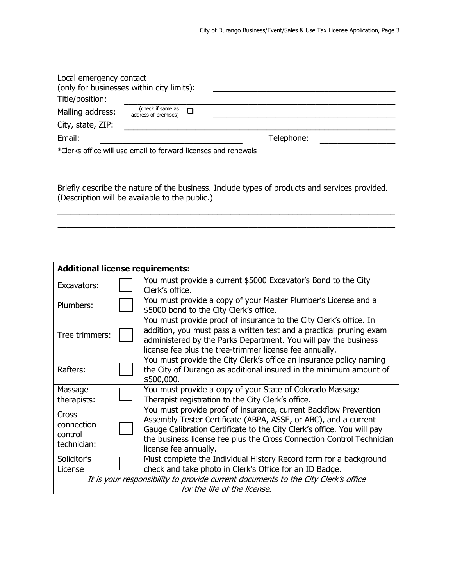| Local emergency contact<br>(only for businesses within city limits):<br>Title/position: |                                           |        |            |  |
|-----------------------------------------------------------------------------------------|-------------------------------------------|--------|------------|--|
| Mailing address:                                                                        | (check if same as<br>address of premises) | $\Box$ |            |  |
| City, state, ZIP:                                                                       |                                           |        |            |  |
| Email:                                                                                  |                                           |        | Telephone: |  |
| *Clerks office will use email to forward licenses and renewals                          |                                           |        |            |  |

Briefly describe the nature of the business. Include types of products and services provided. (Description will be available to the public.)

\_\_\_\_\_\_\_\_\_\_\_\_\_\_\_\_\_\_\_\_\_\_\_\_\_\_\_\_\_\_\_\_\_\_\_\_\_\_\_\_\_\_\_\_\_\_\_\_\_\_\_\_\_\_\_\_\_\_\_\_\_\_\_\_\_\_\_\_\_\_\_\_\_\_\_\_ \_\_\_\_\_\_\_\_\_\_\_\_\_\_\_\_\_\_\_\_\_\_\_\_\_\_\_\_\_\_\_\_\_\_\_\_\_\_\_\_\_\_\_\_\_\_\_\_\_\_\_\_\_\_\_\_\_\_\_\_\_\_\_\_\_\_\_\_\_\_\_\_\_\_\_\_

| <b>Additional license requirements:</b>       |  |                                                                                                                                                                                                                                                                                                                 |  |
|-----------------------------------------------|--|-----------------------------------------------------------------------------------------------------------------------------------------------------------------------------------------------------------------------------------------------------------------------------------------------------------------|--|
| Excavators:                                   |  | You must provide a current \$5000 Excavator's Bond to the City<br>Clerk's office.                                                                                                                                                                                                                               |  |
| Plumbers:                                     |  | You must provide a copy of your Master Plumber's License and a<br>\$5000 bond to the City Clerk's office.                                                                                                                                                                                                       |  |
| Tree trimmers:                                |  | You must provide proof of insurance to the City Clerk's office. In<br>addition, you must pass a written test and a practical pruning exam<br>administered by the Parks Department. You will pay the business<br>license fee plus the tree-trimmer license fee annually.                                         |  |
| Rafters:                                      |  | You must provide the City Clerk's office an insurance policy naming<br>the City of Durango as additional insured in the minimum amount of<br>\$500,000.                                                                                                                                                         |  |
| Massage<br>therapists:                        |  | You must provide a copy of your State of Colorado Massage<br>Therapist registration to the City Clerk's office.                                                                                                                                                                                                 |  |
| Cross<br>connection<br>control<br>technician: |  | You must provide proof of insurance, current Backflow Prevention<br>Assembly Tester Certificate (ABPA, ASSE, or ABC), and a current<br>Gauge Calibration Certificate to the City Clerk's office. You will pay<br>the business license fee plus the Cross Connection Control Technician<br>license fee annually. |  |
| Solicitor's<br>License                        |  | Must complete the Individual History Record form for a background<br>check and take photo in Clerk's Office for an ID Badge.                                                                                                                                                                                    |  |
|                                               |  | It is your responsibility to provide current documents to the City Clerk's office<br>for the life of the license.                                                                                                                                                                                               |  |